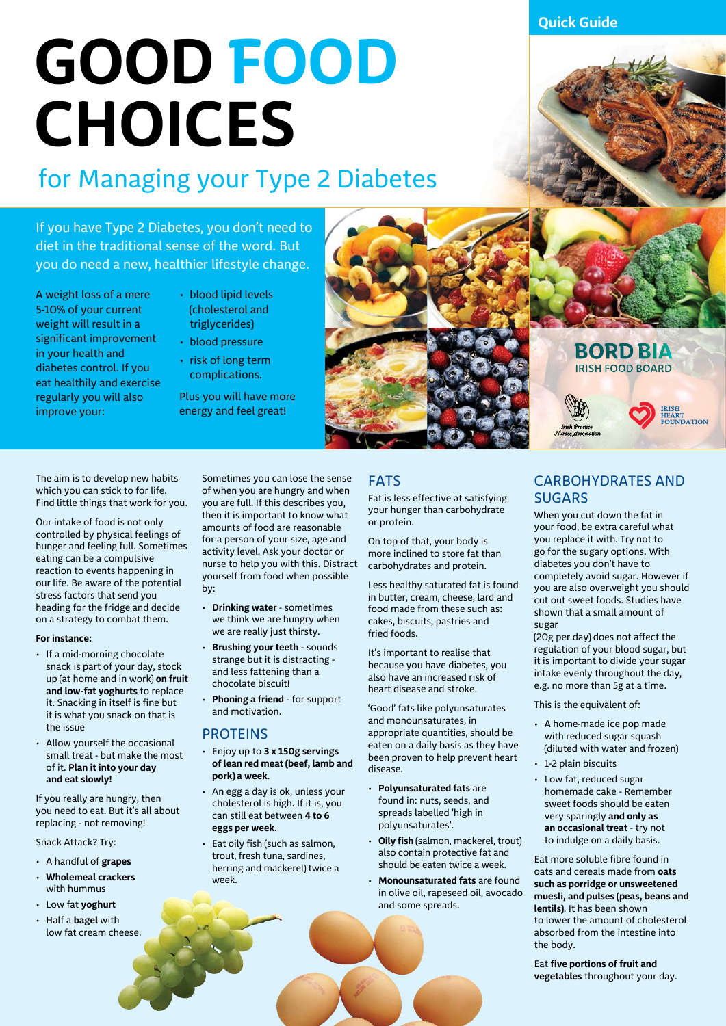**Quick Guide**

# **GOOD FOOD CHOICES**

### for Managing your Type 2 Diabetes

If you have Type 2 Diabetes, you don't need to diet in the traditional sense of the word. But you do need a new, healthier lifestyle change.

A weight loss of a mere 5-10% of your current weight will result in a significant improvement in your health and diabetes control. If you eat healthily and exercise regularly you will also improve your:

- blood lipid levels (cholesterol and triglycerides)
- blood pressure
- risk of long term complications.

Plus you will have more energy and feel great!



The aim is to develop new habits which you can stick to for life. Find little things that work for you.

Our intake of food is not only controlled by physical feelings of hunger and feeling full. Sometimes eating can be a compulsive reaction to events happening in our life. Be aware of the potential stress factors that send you heading for the fridge and decide on a strategy to combat them.

#### **For instance:**

- If a mid-morning chocolate snack is part of your day, stock up (at home and in work) **on fruit and low-fat yoghurts** to replace it. Snacking in itself is fine but it is what you snack on that is the issue
- Allow yourself the occasional small treat - but make the most of it. **Plan it into your day and eat slowly!**

If you really are hungry, then you need to eat. But it's all about replacing – not removing!

Snack Attack? Try:

- A handful of **grapes**
- **Wholemeal crackers** with hummus
- Low fat **yoghurt**
- Half a **bagel** with low fat cream cheese.

Sometimes you can lose the sense of when you are hungry and when you are full. If this describes you, then it is important to know what amounts of food are reasonable for a person of your size, age and activity level. Ask your doctor or nurse to help you with this. Distract yourself from food when possible by:

- **Drinking water** sometimes we think we are hungry when we are really just thirsty.
- **Brushing your teeth** sounds strange but it is distracting – and less fattening than a chocolate biscuit!
- **Phoning a friend** for support and motivation.

### PROTEINS

- Enjoy up to **3 x 150g servings of lean red meat (beef, lamb and pork) a week**.
- An egg a day is ok, unless your cholesterol is high. If it is, you can still eat between **4 to 6 eggs per week**.
- Eat oily fish (such as salmon, trout, fresh tuna, sardines, herring and mackerel) twice a week.

### FATS

Fat is less effective at satisfying your hunger than carbohydrate or protein.

On top of that, your body is more inclined to store fat than carbohydrates and protein.

Less healthy saturated fat is found in butter, cream, cheese, lard and food made from these such as: cakes, biscuits, pastries and fried foods.

It's important to realise that because you have diabetes, you also have an increased risk of heart disease and stroke.

'Good' fats like polyunsaturates and monounsaturates, in appropriate quantities, should be eaten on a daily basis as they have been proven to help prevent heart disease.

- **Polyunsaturated fats** are found in: nuts, seeds, and spreads labelled 'high in polyunsaturates'.
- **Oily fish** (salmon, mackerel, trout) also contain protective fat and should be eaten twice a week.
- **Monounsaturated fats** are found in olive oil, rapeseed oil, avocado and some spreads.

### CARBOHYDRATES AND **SUGARS**

**BORD BIA IRISH FOOD BOARD** 

> **IRISH** HEART<br>FOUNDATION

When you cut down the fat in your food, be extra careful what you replace it with. Try not to go for the sugary options. With diabetes you don't have to completely avoid sugar. However if you are also overweight you should cut out sweet foods. Studies have shown that a small amount of sugar

(20g per day) does not affect the regulation of your blood sugar, but it is important to divide your sugar intake evenly throughout the day, e.g. no more than 5g at a time.

This is the equivalent of:

- A home-made ice pop made with reduced sugar squash (diluted with water and frozen)
- 1-2 plain biscuits
- Low fat, reduced sugar homemade cake – Remember sweet foods should be eaten very sparingly **and only as an occasional treat** – try not to indulge on a daily basis.

Eat more soluble fibre found in oats and cereals made from **oats such as porridge or unsweetened muesli, and pulses (peas, beans and lentils)**. It has been shown to lower the amount of cholesterol absorbed from the intestine into the body.

Eat **five portions of fruit and vegetables** throughout your day.